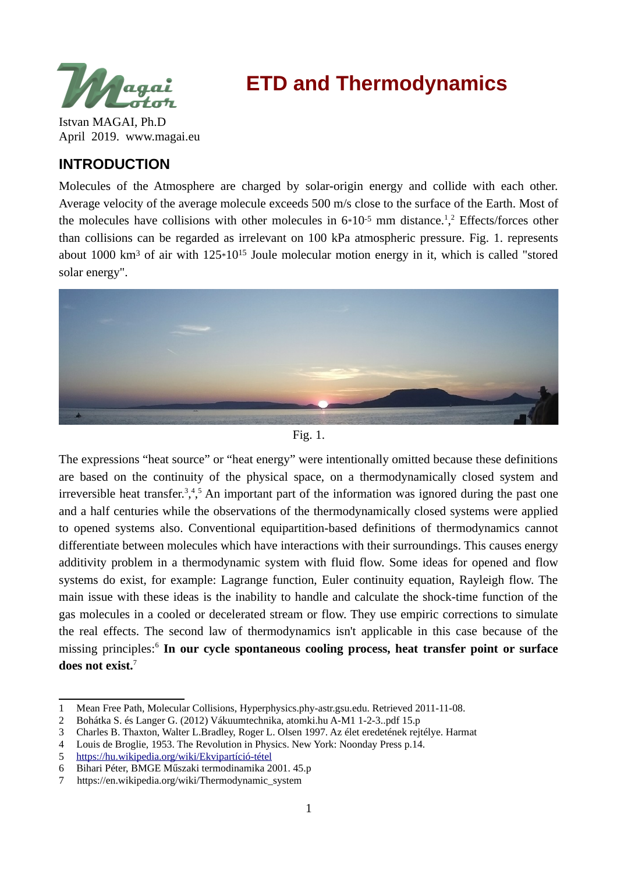

# **ETD and Thermodynamics**

Istvan MAGAI, Ph.D April 2019. www.magai.eu

# **INTRODUCTION**

Molecules of the Atmosphere are charged by solar-origin energy and collide with each other. Average velocity of the average molecule exceeds 500 m/s close to the surface of the Earth. Most of the molecules have collisions with other molecules in  $6*10<sup>-5</sup>$  $6*10<sup>-5</sup>$  $6*10<sup>-5</sup>$  mm distance.<sup>1</sup>,<sup>[2](#page-0-1)</sup> Effects/forces other than collisions can be regarded as irrelevant on 100 kPa atmospheric pressure. Fig. 1. represents about 1000  $km^3$  of air with  $125*10^{15}$  Joule molecular motion energy in it, which is called "stored solar energy".





The expressions "heat source" or "heat energy" were intentionally omitted because these definitions are based on the continuity of the physical space, on a thermodynamically closed system and irreversible heat transfer.<sup>[3](#page-0-2)</sup>,<sup>[4](#page-0-3),[5](#page-0-4)</sup> An important part of the information was ignored during the past one and a half centuries while the observations of the thermodynamically closed systems were applied to opened systems also. Conventional equipartition-based definitions of thermodynamics cannot differentiate between molecules which have interactions with their surroundings. This causes energy additivity problem in a thermodynamic system with fluid flow. Some ideas for opened and flow systems do exist, for example: Lagrange function, Euler continuity equation, Rayleigh flow. The main issue with these ideas is the inability to handle and calculate the shock-time function of the gas molecules in a cooled or decelerated stream or flow. They use empiric corrections to simulate the real effects. The second law of thermodynamics isn't applicable in this case because of the missing principles:[6](#page-0-5) **In our cycle spontaneous cooling process, heat transfer point or surface does not exist.**[7](#page-0-6)

<span id="page-0-0"></span><sup>1</sup> Mean Free Path, Molecular Collisions, Hyperphysics.phy-astr.gsu.edu. Retrieved 2011-11-08.

<span id="page-0-1"></span><sup>2</sup> Bohátka S. és Langer G. (2012) Vákuumtechnika, atomki.hu A-M1 1-2-3..pdf 15.p

<span id="page-0-2"></span><sup>3</sup> Charles B. Thaxton, Walter L.Bradley, Roger L. Olsen 1997. Az élet eredetének rejtélye. Harmat

<span id="page-0-3"></span><sup>4</sup> Louis de Broglie, 1953. The Revolution in Physics. New York: Noonday Press p.14.

<span id="page-0-4"></span><sup>5</sup> [https://hu.wikipedia.org/wiki/Ekvipartíció-tétel](https://hu.wikipedia.org/wiki/Ekvipart%C3%ADci%C3%B3-t%C3%A9tel)

<span id="page-0-5"></span><sup>6</sup> Bihari Péter, BMGE Műszaki termodinamika 2001. 45.p

<span id="page-0-6"></span><sup>7</sup> https://en.wikipedia.org/wiki/Thermodynamic\_system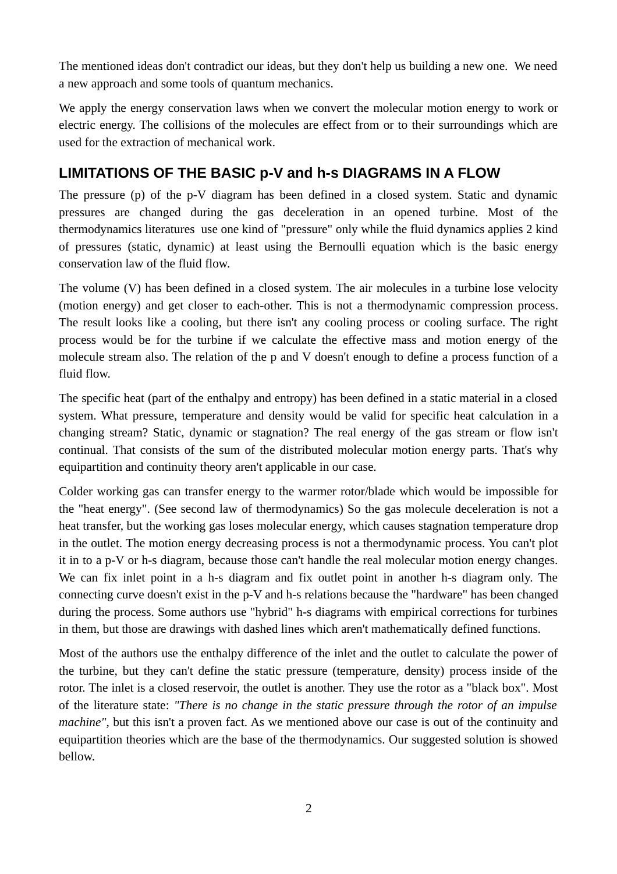The mentioned ideas don't contradict our ideas, but they don't help us building a new one. We need a new approach and some tools of quantum mechanics.

We apply the energy conservation laws when we convert the molecular motion energy to work or electric energy. The collisions of the molecules are effect from or to their surroundings which are used for the extraction of mechanical work.

# **LIMITATIONS OF THE BASIC p-V and h-s DIAGRAMS IN A FLOW**

The pressure (p) of the p-V diagram has been defined in a closed system. Static and dynamic pressures are changed during the gas deceleration in an opened turbine. Most of the thermodynamics literatures use one kind of "pressure" only while the fluid dynamics applies 2 kind of pressures (static, dynamic) at least using the Bernoulli equation which is the basic energy conservation law of the fluid flow.

The volume (V) has been defined in a closed system. The air molecules in a turbine lose velocity (motion energy) and get closer to each-other. This is not a thermodynamic compression process. The result looks like a cooling, but there isn't any cooling process or cooling surface. The right process would be for the turbine if we calculate the effective mass and motion energy of the molecule stream also. The relation of the p and V doesn't enough to define a process function of a fluid flow.

The specific heat (part of the enthalpy and entropy) has been defined in a static material in a closed system. What pressure, temperature and density would be valid for specific heat calculation in a changing stream? Static, dynamic or stagnation? The real energy of the gas stream or flow isn't continual. That consists of the sum of the distributed molecular motion energy parts. That's why equipartition and continuity theory aren't applicable in our case.

Colder working gas can transfer energy to the warmer rotor/blade which would be impossible for the "heat energy". (See second law of thermodynamics) So the gas molecule deceleration is not a heat transfer, but the working gas loses molecular energy, which causes stagnation temperature drop in the outlet. The motion energy decreasing process is not a thermodynamic process. You can't plot it in to a p-V or h-s diagram, because those can't handle the real molecular motion energy changes. We can fix inlet point in a h-s diagram and fix outlet point in another h-s diagram only. The connecting curve doesn't exist in the p-V and h-s relations because the "hardware" has been changed during the process. Some authors use "hybrid" h-s diagrams with empirical corrections for turbines in them, but those are drawings with dashed lines which aren't mathematically defined functions.

Most of the authors use the enthalpy difference of the inlet and the outlet to calculate the power of the turbine, but they can't define the static pressure (temperature, density) process inside of the rotor. The inlet is a closed reservoir, the outlet is another. They use the rotor as a "black box". Most of the literature state: *"There is no change in the static pressure through the rotor of an impulse machine"*, but this isn't a proven fact. As we mentioned above our case is out of the continuity and equipartition theories which are the base of the thermodynamics. Our suggested solution is showed bellow.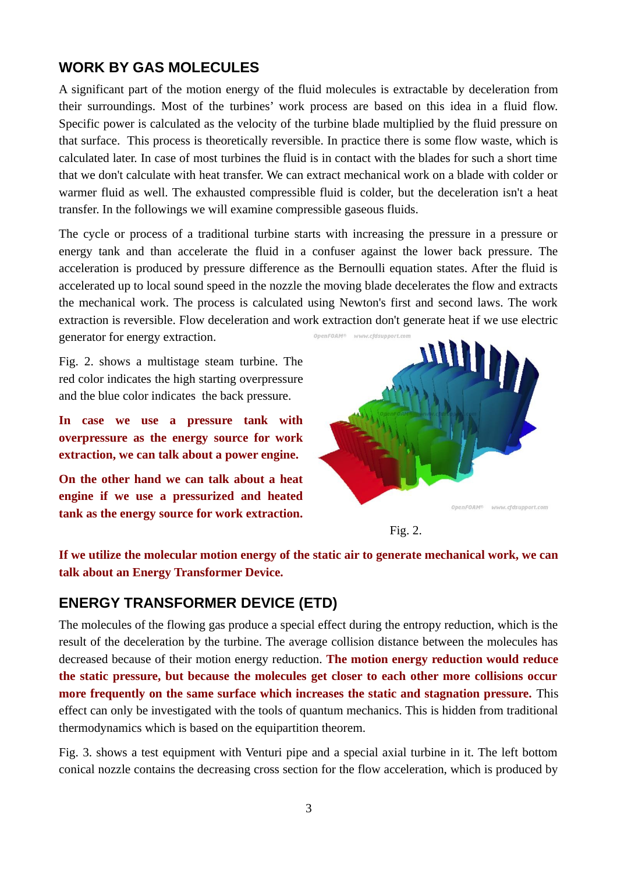## **WORK BY GAS MOLECULES**

A significant part of the motion energy of the fluid molecules is extractable by deceleration from their surroundings. Most of the turbines' work process are based on this idea in a fluid flow. Specific power is calculated as the velocity of the turbine blade multiplied by the fluid pressure on that surface. This process is theoretically reversible. In practice there is some flow waste, which is calculated later. In case of most turbines the fluid is in contact with the blades for such a short time that we don't calculate with heat transfer. We can extract mechanical work on a blade with colder or warmer fluid as well. The exhausted compressible fluid is colder, but the deceleration isn't a heat transfer. In the followings we will examine compressible gaseous fluids.

The cycle or process of a traditional turbine starts with increasing the pressure in a pressure or energy tank and than accelerate the fluid in a confuser against the lower back pressure. The acceleration is produced by pressure difference as the Bernoulli equation states. After the fluid is accelerated up to local sound speed in the nozzle the moving blade decelerates the flow and extracts the mechanical work. The process is calculated using Newton's first and second laws. The work extraction is reversible. Flow deceleration and work extraction don't generate heat if we use electric generator for energy extraction.

Fig. 2. shows a multistage steam turbine. The red color indicates the high starting overpressure

and the blue color indicates the back pressure.

**In case we use a pressure tank with overpressure as the energy source for work extraction, we can talk about a power engine.**

**On the other hand we can talk about a heat engine if we use a pressurized and heated tank as the energy source for work extraction.**





**If we utilize the molecular motion energy of the static air to generate mechanical work, we can talk about an Energy Transformer Device.** 

# **ENERGY TRANSFORMER DEVICE (ETD)**

The molecules of the flowing gas produce a special effect during the entropy reduction, which is the result of the deceleration by the turbine. The average collision distance between the molecules has decreased because of their motion energy reduction. **The motion energy reduction would reduce the static pressure, but because the molecules get closer to each other more collisions occur more frequently on the same surface which increases the static and stagnation pressure.** This effect can only be investigated with the tools of quantum mechanics. This is hidden from traditional thermodynamics which is based on the equipartition theorem.

Fig. 3. shows a test equipment with Venturi pipe and a special axial turbine in it. The left bottom conical nozzle contains the decreasing cross section for the flow acceleration, which is produced by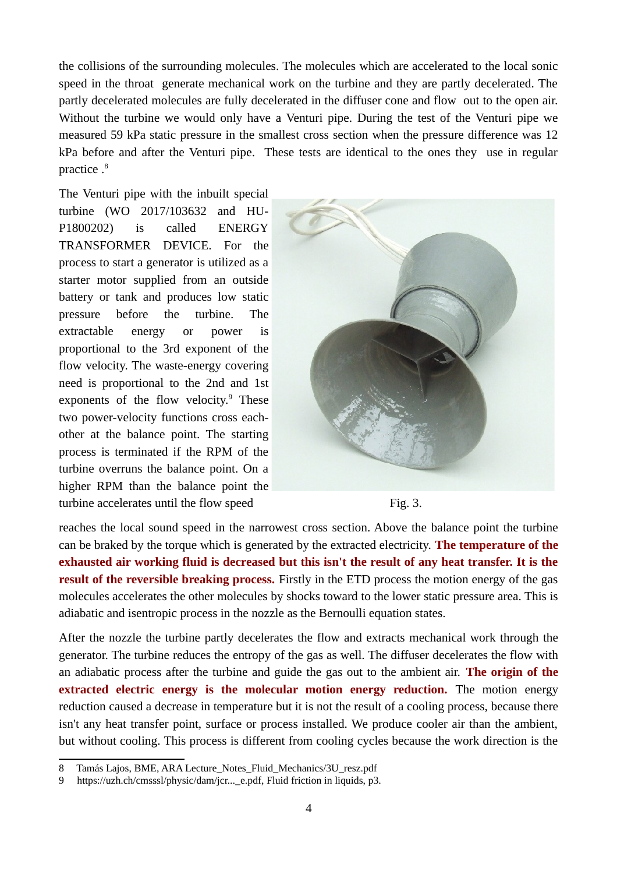the collisions of the surrounding molecules. The molecules which are accelerated to the local sonic speed in the throat generate mechanical work on the turbine and they are partly decelerated. The partly decelerated molecules are fully decelerated in the diffuser cone and flow out to the open air. Without the turbine we would only have a Venturi pipe. During the test of the Venturi pipe we measured 59 kPa static pressure in the smallest cross section when the pressure difference was 12 kPa before and after the Venturi pipe. These tests are identical to the ones they use in regular practice .<sup>[8](#page-3-0)</sup>

The Venturi pipe with the inbuilt special turbine (WO 2017/103632 and HU-P1800202) is called ENERGY TRANSFORMER DEVICE. For the process to start a generator is utilized as a starter motor supplied from an outside battery or tank and produces low static pressure before the turbine. The extractable energy or power is proportional to the 3rd exponent of the flow velocity. The waste-energy covering need is proportional to the 2nd and 1st exponents of the flow velocity.<sup>[9](#page-3-1)</sup> These two power-velocity functions cross eachother at the balance point. The starting process is terminated if the RPM of the turbine overruns the balance point. On a higher RPM than the balance point the turbine accelerates until the flow speed Fig. 3.



reaches the local sound speed in the narrowest cross section. Above the balance point the turbine can be braked by the torque which is generated by the extracted electricity. **The temperature of the exhausted air working fluid is decreased but this isn't the result of any heat transfer. It is the result of the reversible breaking process.** Firstly in the ETD process the motion energy of the gas molecules accelerates the other molecules by shocks toward to the lower static pressure area. This is adiabatic and isentropic process in the nozzle as the Bernoulli equation states.

After the nozzle the turbine partly decelerates the flow and extracts mechanical work through the generator. The turbine reduces the entropy of the gas as well. The diffuser decelerates the flow with an adiabatic process after the turbine and guide the gas out to the ambient air. **The origin of the extracted electric energy is the molecular motion energy reduction.** The motion energy reduction caused a decrease in temperature but it is not the result of a cooling process, because there isn't any heat transfer point, surface or process installed. We produce cooler air than the ambient, but without cooling. This process is different from cooling cycles because the work direction is the

<span id="page-3-0"></span><sup>8</sup> Tamás Lajos, BME, ARA Lecture\_Notes\_Fluid\_Mechanics/3U\_resz.pdf

<span id="page-3-1"></span><sup>9</sup> https://uzh.ch/cmsssl/physic/dam/jcr...\_e.pdf, Fluid friction in liquids, p3.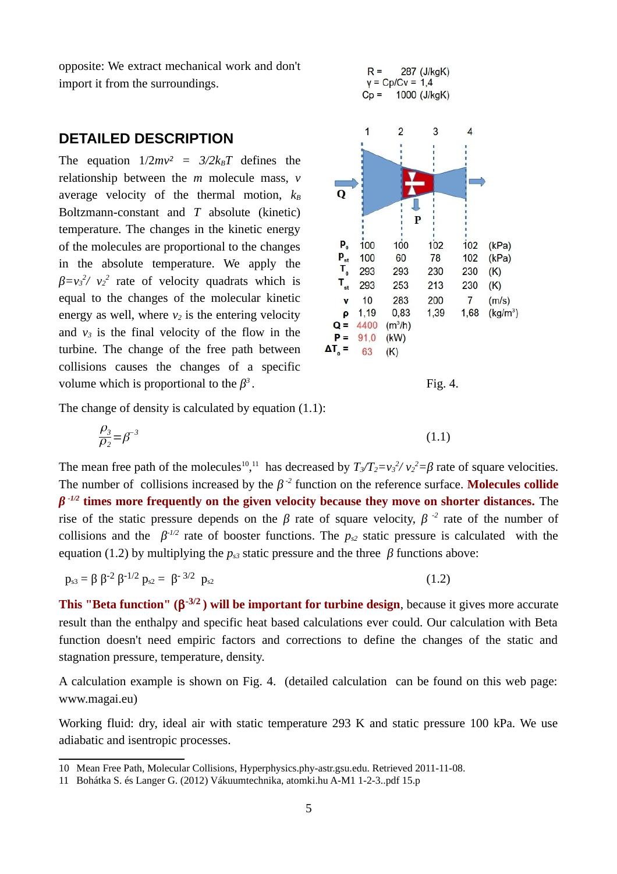opposite: We extract mechanical work and don't import it from the surroundings.

### **DETAILED DESCRIPTION**

The equation  $1/2mv^2 = 3/2k_BT$  defines the relationship between the *m* molecule mass, *v* average velocity of the thermal motion,  $k_B$ Boltzmann-constant and *T* absolute (kinetic) temperature. The changes in the kinetic energy of the molecules are proportional to the changes in the absolute temperature. We apply the  $\beta = v_3^2 / v_2^2$  rate of velocity quadrats which is equal to the changes of the molecular kinetic energy as well, where *v2* is the entering velocity and  $v_3$  is the final velocity of the flow in the turbine. The change of the free path between collisions causes the changes of a specific volume which is proportional to the  $\beta^3$ 



. Fig. 4.

The change of density is calculated by equation (1.1):

$$
\frac{\rho_3}{\rho_2} = \beta^{-3} \tag{1.1}
$$

The mean free path of the molecules<sup>[10](#page-4-0)</sup>,<sup>[11](#page-4-1)</sup> has decreased by  $T_3/T_2 = v_3^2/v_2^2 = \beta$  rate of square velocities. The number of collisions increased by the  $\beta$ <sup>-2</sup> function on the reference surface. **Molecules collide** *β*<sup>-1/2</sup> times more frequently on the given velocity because they move on shorter distances. The rise of the static pressure depends on the *β* rate of square velocity,  $β^{-2}$  rate of the number of collisions and the  $\beta$ <sup>-1/2</sup> rate of booster functions. The  $p_{s2}$  static pressure is calculated with the equation (1.2) by multiplying the  $p_{s3}$  static pressure and the three  $\beta$  functions above:

$$
p_{s3} = \beta \beta^{-2} \beta^{-1/2} p_{s2} = \beta^{-3/2} p_{s2}
$$
 (1.2)

**This "Beta function" ( -3/2 ) will be important for turbine design**, because it gives more accurate result than the enthalpy and specific heat based calculations ever could. Our calculation with Beta function doesn't need empiric factors and corrections to define the changes of the static and stagnation pressure, temperature, density.

A calculation example is shown on Fig. 4. (detailed calculation can be found on this web page: www.magai.eu)

Working fluid: dry, ideal air with static temperature 293 K and static pressure 100 kPa. We use adiabatic and isentropic processes.

<span id="page-4-0"></span><sup>10</sup> Mean Free Path, Molecular Collisions, Hyperphysics.phy-astr.gsu.edu. Retrieved 2011-11-08.

<span id="page-4-1"></span><sup>11</sup> Bohátka S. és Langer G. (2012) Vákuumtechnika, atomki.hu A-M1 1-2-3..pdf 15.p